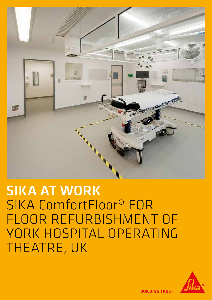

# SIKA AT WORK SIKA ComfortFloor® FOR FLOOR REFURBISHMENT OF YORK HOSPITAL OPERATING THEATRE, UK



**BUILDING TRUST**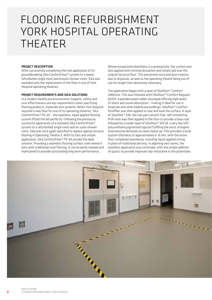## FLOORING REFURBISHMENT YORK HOSPITAL OPERATING THEATER

#### PROJECT DESCRIPTION

After successfully completing the trial application of its groundbreaking Sika ComfortFloor® system to a newlyrefurbished single room and ensuite shower room, Sika was awarded with the replacement of the floor in one of York Hospital operating theatres.

#### PROJECT REQUIREMENTS AND SIKA SOLUTIONS

In a modern healthcare environment, hygiene, safety and cost-effectiveness are key requirements when specifying flooring products, materials and systems. When York Hospital required a new floor for one of its operating theatres, Sika ComfortFloor® PS-65 – the seamless, liquid applied flooring system fitted the bill perfectly. Following the previously successful application of a standard Sika ComfortFloor® system to a refurbished single room and en-suite shower room, Sika was once again specified to replace ageing terrazzo flooring in Operating Theatre 3. With its fast and simple application, Sika ComfortFloor® PS-65 proved the ideal solution. Providing a seamless flooring surface, even where it joins with traditional vinyl flooring, it can be easily cleaned and maintained to provide outstanding long term performance.

Where exceptional cleanliness is a prerequisite, the system was also applied with minimal disruption and simply laid over the original terrazzo floor. This prevented noise and dust creation due to disposals, as well as the operating theatre being out of use for longer than absolutely necessary.

The application began with a layer of Sikafloor® Comfort Adhesive. This was followed with Sikafloor® Comfort Regupol 6015H, a prefabricated rubber shockpad offering high levels of shock and sound absorption – making it ideal for use in hospitals and other healthcare buildings. Sikafloor® Comfort Porefiller was then applied to seal and level the surface. A layer of Sikafloor® 330, the two part solvent free, self-smoothing PUR resin was then applied to the floor to provide a base coat followed by a sealer layer of Sikafloor® 305 W, a very low VOC polyurethane pigmented topcoat fulfilling the most stringent international demands on clean indoor air. This provided a total system thickness of approximately 6–8 mm, with the entire floor completed seamlessly, including liquid-applied coving in place of traditional skirting. In adjoining wet rooms, the seamless application was continued, with the simple addition of quartz to provide improved slip-resistance in the potentially

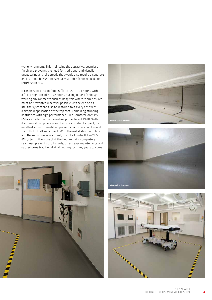wet environment. This maintains the attractive, seamless finish and prevents the need for traditional and visually unappealing anti-slip treads that would also require a separate application. The system is equally suitable for new build and refurbishments.

It can be subjected to foot traffic in just 16–24 hours, with a full curing time of 48–72 hours, making it ideal for busy working environments such as hospitals where room closures must be prevented wherever possible. At the end of its life, the system can also be restored to its very best with a simple reapplication of the top coat. Combining stunning aesthetics with high performance, Sika ComfortFloor® PS-65 has excellent noise-cancelling properties of 19 dB. With its chemical composition and texture absorbent impact, its excellent acoustic insulation prevents transmission of sound for both footfall and impact. With the installation complete and the room now operational, the Sika ComfortFloor® PS-65 system will ensure that the floor remains completely seamless, prevents trip hazards, offers easy maintenance and outperforms traditional vinyl flooring for many years to come.